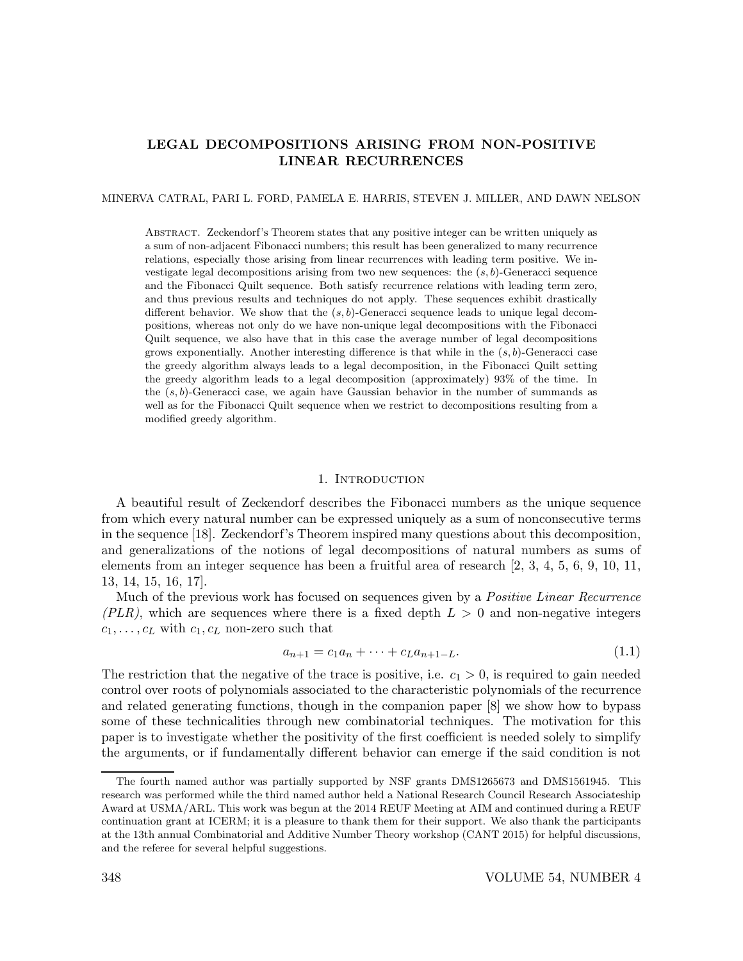# LEGAL DECOMPOSITIONS ARISING FROM NON-POSITIVE LINEAR RECURRENCES

MINERVA CATRAL, PARI L. FORD, PAMELA E. HARRIS, STEVEN J. MILLER, AND DAWN NELSON

Abstract. Zeckendorf's Theorem states that any positive integer can be written uniquely as a sum of non-adjacent Fibonacci numbers; this result has been generalized to many recurrence relations, especially those arising from linear recurrences with leading term positive. We investigate legal decompositions arising from two new sequences: the  $(s, b)$ -Generacci sequence and the Fibonacci Quilt sequence. Both satisfy recurrence relations with leading term zero, and thus previous results and techniques do not apply. These sequences exhibit drastically different behavior. We show that the  $(s, b)$ -Generacci sequence leads to unique legal decompositions, whereas not only do we have non-unique legal decompositions with the Fibonacci Quilt sequence, we also have that in this case the average number of legal decompositions grows exponentially. Another interesting difference is that while in the  $(s, b)$ -Generacci case the greedy algorithm always leads to a legal decomposition, in the Fibonacci Quilt setting the greedy algorithm leads to a legal decomposition (approximately) 93% of the time. In the  $(s, b)$ -Generacci case, we again have Gaussian behavior in the number of summands as well as for the Fibonacci Quilt sequence when we restrict to decompositions resulting from a modified greedy algorithm.

### 1. INTRODUCTION

A beautiful result of Zeckendorf describes the Fibonacci numbers as the unique sequence from which every natural number can be expressed uniquely as a sum of nonconsecutive terms in the sequence [18]. Zeckendorf's Theorem inspired many questions about this decomposition, and generalizations of the notions of legal decompositions of natural numbers as sums of elements from an integer sequence has been a fruitful area of research [2, 3, 4, 5, 6, 9, 10, 11, 13, 14, 15, 16, 17].

Much of the previous work has focused on sequences given by a *Positive Linear Recurrence* (PLR), which are sequences where there is a fixed depth  $L > 0$  and non-negative integers  $c_1, \ldots, c_L$  with  $c_1, c_L$  non-zero such that

$$
a_{n+1} = c_1 a_n + \dots + c_L a_{n+1-L}.\tag{1.1}
$$

The restriction that the negative of the trace is positive, i.e.  $c_1 > 0$ , is required to gain needed control over roots of polynomials associated to the characteristic polynomials of the recurrence and related generating functions, though in the companion paper [8] we show how to bypass some of these technicalities through new combinatorial techniques. The motivation for this paper is to investigate whether the positivity of the first coefficient is needed solely to simplify the arguments, or if fundamentally different behavior can emerge if the said condition is not

The fourth named author was partially supported by NSF grants DMS1265673 and DMS1561945. This research was performed while the third named author held a National Research Council Research Associateship Award at USMA/ARL. This work was begun at the 2014 REUF Meeting at AIM and continued during a REUF continuation grant at ICERM; it is a pleasure to thank them for their support. We also thank the participants at the 13th annual Combinatorial and Additive Number Theory workshop (CANT 2015) for helpful discussions, and the referee for several helpful suggestions.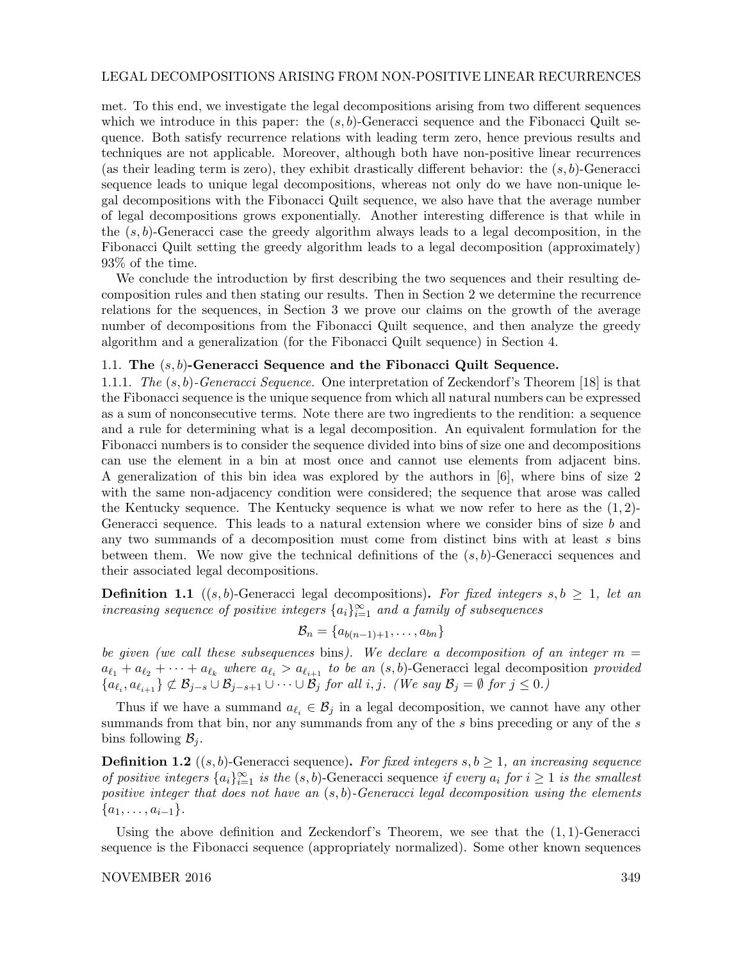# LEGAL DECOMPOSITIONS ARISING FROM NON-POSITIVE LINEAR RECURRENCES

met. To this end, we investigate the legal decompositions arising from two different sequences which we introduce in this paper: the  $(s, b)$ -Generacci sequence and the Fibonacci Quilt sequence. Both satisfy recurrence relations with leading term zero, hence previous results and techniques are not applicable. Moreover, although both have non-positive linear recurrences (as their leading term is zero), they exhibit drastically different behavior: the  $(s, b)$ -Generacci sequence leads to unique legal decompositions, whereas not only do we have non-unique legal decompositions with the Fibonacci Quilt sequence, we also have that the average number of legal decompositions grows exponentially. Another interesting difference is that while in the  $(s, b)$ -Generacci case the greedy algorithm always leads to a legal decomposition, in the Fibonacci Quilt setting the greedy algorithm leads to a legal decomposition (approximately) 93% of the time.

We conclude the introduction by first describing the two sequences and their resulting decomposition rules and then stating our results. Then in Section 2 we determine the recurrence relations for the sequences, in Section 3 we prove our claims on the growth of the average number of decompositions from the Fibonacci Quilt sequence, and then analyze the greedy algorithm and a generalization (for the Fibonacci Quilt sequence) in Section 4.

# 1.1. The  $(s, b)$ -Generacci Sequence and the Fibonacci Quilt Sequence.

1.1.1. The (s, b)-Generacci Sequence. One interpretation of Zeckendorf's Theorem [18] is that the Fibonacci sequence is the unique sequence from which all natural numbers can be expressed as a sum of nonconsecutive terms. Note there are two ingredients to the rendition: a sequence and a rule for determining what is a legal decomposition. An equivalent formulation for the Fibonacci numbers is to consider the sequence divided into bins of size one and decompositions can use the element in a bin at most once and cannot use elements from adjacent bins. A generalization of this bin idea was explored by the authors in [6], where bins of size 2 with the same non-adjacency condition were considered; the sequence that arose was called the Kentucky sequence. The Kentucky sequence is what we now refer to here as the  $(1, 2)$ -Generacci sequence. This leads to a natural extension where we consider bins of size b and any two summands of a decomposition must come from distinct bins with at least  $s$  bins between them. We now give the technical definitions of the  $(s, b)$ -Generacci sequences and their associated legal decompositions.

**Definition 1.1** ((s, b)-Generacci legal decompositions). For fixed integers s,  $b \ge 1$ , let an  $increasing\ sequence\ of\ positive\ integers\ \{a_i\}_{i=1}^\infty\ and\ a\ family\ of\ subsequences$ 

$$
\mathcal{B}_n = \{a_{b(n-1)+1}, \ldots, a_{bn}\}
$$

be given (we call these subsequences bins). We declare a decomposition of an integer  $m =$  $a_{\ell_1} + a_{\ell_2} + \cdots + a_{\ell_k}$  where  $a_{\ell_i} > a_{\ell_{i+1}}$  to be an  $(s, b)$ -Generacci legal decomposition provided  ${a_{\ell_i}, a_{\ell_{i+1}}\} \not\subset \mathcal{B}_{j-s} \cup \mathcal{B}_{j-s+1} \cup \cdots \cup \mathcal{B}_j$  for all i, j. (We say  $\mathcal{B}_j = \emptyset$  for  $j \le 0$ .)

Thus if we have a summand  $a_{\ell_i} \in \mathcal{B}_j$  in a legal decomposition, we cannot have any other summands from that bin, nor any summands from any of the s bins preceding or any of the s bins following  $\mathcal{B}_i$ .

**Definition 1.2** ((s, b)-Generacci sequence). For fixed integers  $s, b \ge 1$ , an increasing sequence of positive integers  $\{a_i\}_{i=1}^{\infty}$  is the  $(s, b)$ -Generacci sequence if every  $a_i$  for  $i \geq 1$  is the smallest positive integer that does not have an  $(s, b)$ -Generacci legal decomposition using the elements  $\{a_1, \ldots, a_{i-1}\}.$ 

Using the above definition and Zeckendorf's Theorem, we see that the  $(1, 1)$ -Generacci sequence is the Fibonacci sequence (appropriately normalized). Some other known sequences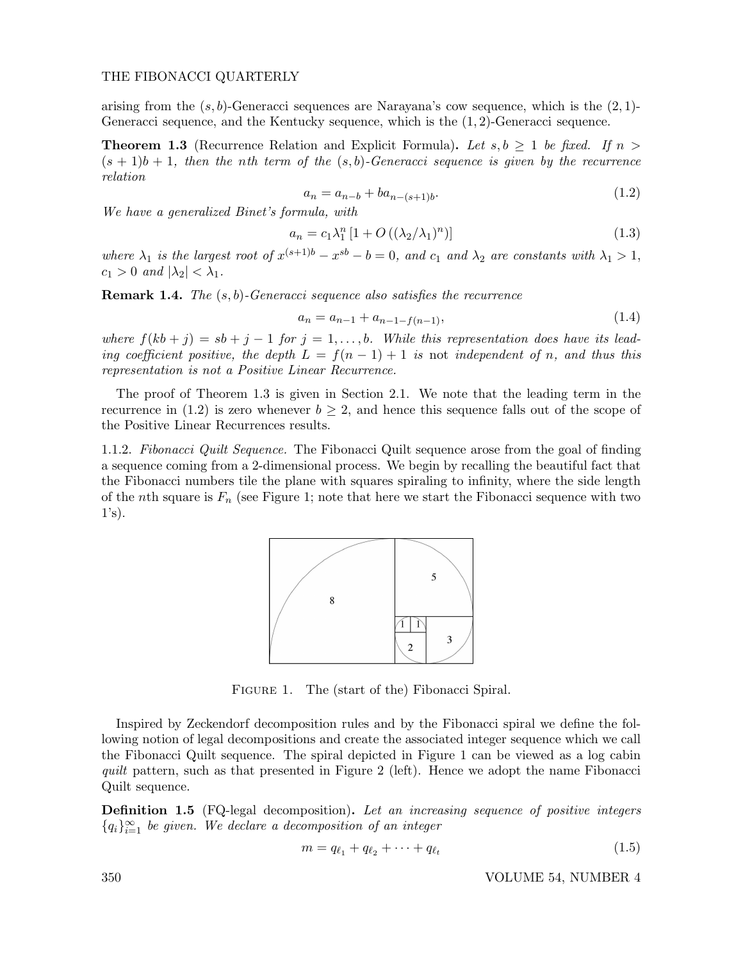arising from the  $(s, b)$ -Generacci sequences are Narayana's cow sequence, which is the  $(2, 1)$ -Generacci sequence, and the Kentucky sequence, which is the (1, 2)-Generacci sequence.

**Theorem 1.3** (Recurrence Relation and Explicit Formula). Let  $s, b \geq 1$  be fixed. If  $n >$  $(s + 1)b + 1$ , then the nth term of the  $(s, b)$ -Generacci sequence is given by the recurrence relation

$$
a_n = a_{n-b} + ba_{n-(s+1)b}.\tag{1.2}
$$

We have a generalized Binet's formula, with

$$
a_n = c_1 \lambda_1^n \left[ 1 + O\left( \left( \lambda_2 / \lambda_1 \right)^n \right) \right] \tag{1.3}
$$

where  $\lambda_1$  is the largest root of  $x^{(s+1)b} - x^{sb} - b = 0$ , and  $c_1$  and  $\lambda_2$  are constants with  $\lambda_1 > 1$ ,  $c_1 > 0$  and  $|\lambda_2| < \lambda_1$ .

**Remark 1.4.** The  $(s, b)$ -Generacci sequence also satisfies the recurrence

$$
a_n = a_{n-1} + a_{n-1-f(n-1)},
$$
\n(1.4)

where  $f(kb + j) = sb + j - 1$  for  $j = 1, ..., b$ . While this representation does have its leading coefficient positive, the depth  $L = f(n-1) + 1$  is not independent of n, and thus this representation is not a Positive Linear Recurrence.

The proof of Theorem 1.3 is given in Section 2.1. We note that the leading term in the recurrence in (1.2) is zero whenever  $b \geq 2$ , and hence this sequence falls out of the scope of the Positive Linear Recurrences results.

1.1.2. Fibonacci Quilt Sequence. The Fibonacci Quilt sequence arose from the goal of finding a sequence coming from a 2-dimensional process. We begin by recalling the beautiful fact that the Fibonacci numbers tile the plane with squares spiraling to infinity, where the side length of the nth square is  $F_n$  (see Figure 1; note that here we start the Fibonacci sequence with two  $1's$ ).



Figure 1. The (start of the) Fibonacci Spiral.

Inspired by Zeckendorf decomposition rules and by the Fibonacci spiral we define the following notion of legal decompositions and create the associated integer sequence which we call the Fibonacci Quilt sequence. The spiral depicted in Figure 1 can be viewed as a log cabin quilt pattern, such as that presented in Figure 2 (left). Hence we adopt the name Fibonacci Quilt sequence.

**Definition 1.5** (FQ-legal decomposition). Let an increasing sequence of positive integers  ${q_i}_{i=1}^{\infty}$  be given. We declare a decomposition of an integer

$$
m = q_{\ell_1} + q_{\ell_2} + \dots + q_{\ell_t} \tag{1.5}
$$

350 VOLUME 54, NUMBER 4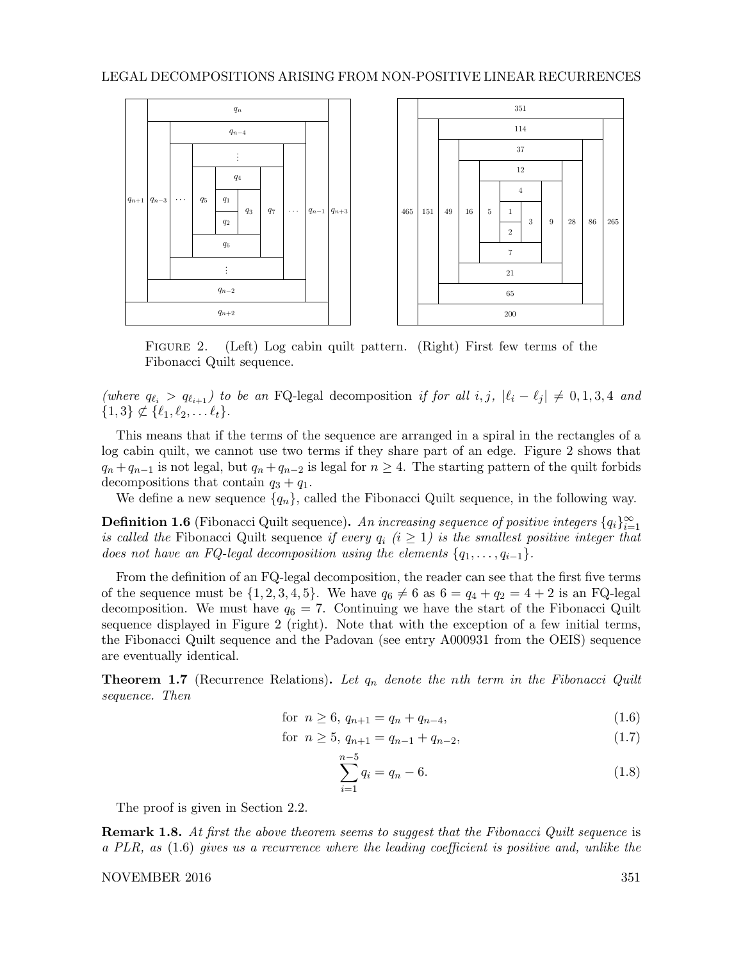# LEGAL DECOMPOSITIONS ARISING FROM NON-POSITIVE LINEAR RECURRENCES



FIGURE 2. (Left) Log cabin quilt pattern. (Right) First few terms of the Fibonacci Quilt sequence.

(where  $q_{\ell_i} > q_{\ell_{i+1}}$ ) to be an FQ-legal decomposition if for all i, j,  $|\ell_i - \ell_j| \neq 0, 1, 3, 4$  and  $\{1,3\} \nsubseteq {\ell_1, \ell_2, \ldots \ell_t}.$ 

This means that if the terms of the sequence are arranged in a spiral in the rectangles of a log cabin quilt, we cannot use two terms if they share part of an edge. Figure 2 shows that  $q_n + q_{n-1}$  is not legal, but  $q_n + q_{n-2}$  is legal for  $n \geq 4$ . The starting pattern of the quilt forbids decompositions that contain  $q_3 + q_1$ .

We define a new sequence  $\{q_n\}$ , called the Fibonacci Quilt sequence, in the following way.

**Definition 1.6** (Fibonacci Quilt sequence). An increasing sequence of positive integers  $\{q_i\}_{i=1}^{\infty}$ is called the Fibonacci Quilt sequence if every  $q_i$  (i  $\geq 1$ ) is the smallest positive integer that does not have an FQ-legal decomposition using the elements  $\{q_1, \ldots, q_{i-1}\}.$ 

From the definition of an FQ-legal decomposition, the reader can see that the first five terms of the sequence must be  $\{1, 2, 3, 4, 5\}$ . We have  $q_6 \neq 6$  as  $6 = q_4 + q_2 = 4 + 2$  is an FQ-legal decomposition. We must have  $q_6 = 7$ . Continuing we have the start of the Fibonacci Quilt sequence displayed in Figure 2 (right). Note that with the exception of a few initial terms, the Fibonacci Quilt sequence and the Padovan (see entry A000931 from the OEIS) sequence are eventually identical.

**Theorem 1.7** (Recurrence Relations). Let  $q_n$  denote the nth term in the Fibonacci Quilt sequence. Then

for 
$$
n \ge 6
$$
,  $q_{n+1} = q_n + q_{n-4}$ , 
$$
(1.6)
$$

for 
$$
n \ge 5
$$
,  $q_{n+1} = q_{n-1} + q_{n-2}$ , 
$$
(1.7)
$$

$$
\sum_{i=1}^{n-5} q_i = q_n - 6.
$$
\n(1.8)

The proof is given in Section 2.2.

**Remark 1.8.** At first the above theorem seems to suggest that the Fibonacci Quilt sequence is a PLR, as (1.6) gives us a recurrence where the leading coefficient is positive and, unlike the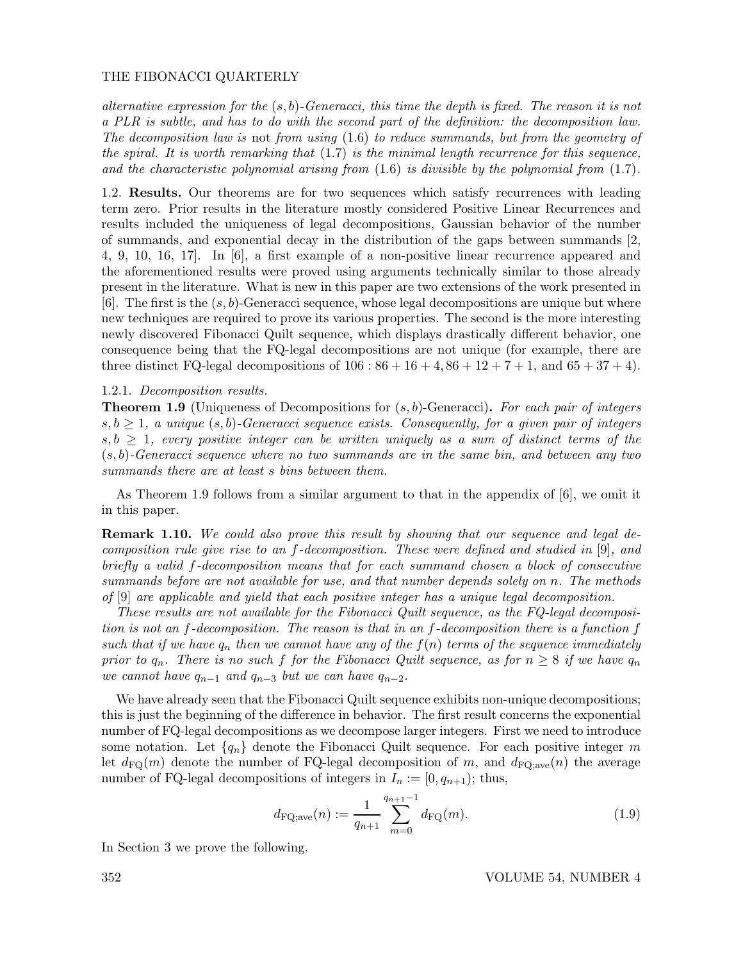alternative expression for the  $(s, b)$ -Generacci, this time the depth is fixed. The reason it is not a PLR is subtle, and has to do with the second part of the definition: the decomposition law. The decomposition law is not from using (1.6) to reduce summands, but from the geometry of the spiral. It is worth remarking that  $(1.7)$  is the minimal length recurrence for this sequence, and the characteristic polynomial arising from  $(1.6)$  is divisible by the polynomial from  $(1.7)$ .

1.2. Results. Our theorems are for two sequences which satisfy recurrences with leading term zero. Prior results in the literature mostly considered Positive Linear Recurrences and results included the uniqueness of legal decompositions, Gaussian behavior of the number of summands, and exponential decay in the distribution of the gaps between summands [2, 4, 9, 10, 16, 17]. In [6], a first example of a non-positive linear recurrence appeared and the aforementioned results were proved using arguments technically similar to those already present in the literature. What is new in this paper are two extensions of the work presented in  $[6]$ . The first is the  $(s, b)$ -Generacci sequence, whose legal decompositions are unique but where new techniques are required to prove its various properties. The second is the more interesting newly discovered Fibonacci Quilt sequence, which displays drastically different behavior, one consequence being that the FQ-legal decompositions are not unique (for example, there are three distinct FQ-legal decompositions of  $106 : 86 + 16 + 4, 86 + 12 + 7 + 1$ , and  $65 + 37 + 4$ .

#### 1.2.1. Decomposition results.

**Theorem 1.9** (Uniqueness of Decompositions for  $(s, b)$ -Generacci). For each pair of integers  $s, b \geq 1$ , a unique  $(s, b)$ -Generacci sequence exists. Consequently, for a given pair of integers  $s, b \geq 1$ , every positive integer can be written uniquely as a sum of distinct terms of the  $(s, b)$ -Generacci sequence where no two summands are in the same bin, and between any two summands there are at least s bins between them.

As Theorem 1.9 follows from a similar argument to that in the appendix of [6], we omit it in this paper.

**Remark 1.10.** We could also prove this result by showing that our sequence and legal decomposition rule give rise to an f-decomposition. These were defined and studied in [9], and briefly a valid f-decomposition means that for each summand chosen a block of consecutive summands before are not available for use, and that number depends solely on n. The methods of [9] are applicable and yield that each positive integer has a unique legal decomposition.

These results are not available for the Fibonacci Quilt sequence, as the FQ-legal decomposition is not an f-decomposition. The reason is that in an f-decomposition there is a function f such that if we have  $q_n$  then we cannot have any of the  $f(n)$  terms of the sequence immediately prior to  $q_n$ . There is no such f for the Fibonacci Quilt sequence, as for  $n \geq 8$  if we have  $q_n$ we cannot have  $q_{n-1}$  and  $q_{n-3}$  but we can have  $q_{n-2}$ .

We have already seen that the Fibonacci Quilt sequence exhibits non-unique decompositions; this is just the beginning of the difference in behavior. The first result concerns the exponential number of FQ-legal decompositions as we decompose larger integers. First we need to introduce some notation. Let  $\{q_n\}$  denote the Fibonacci Quilt sequence. For each positive integer m let  $d_{\text{FQ}}(m)$  denote the number of FQ-legal decomposition of m, and  $d_{\text{FQ};\text{ave}}(n)$  the average number of FQ-legal decompositions of integers in  $I_n := [0, q_{n+1})$ ; thus,

$$
d_{\text{FQ};\text{ave}}(n) := \frac{1}{q_{n+1}} \sum_{m=0}^{q_{n+1}-1} d_{\text{FQ}}(m). \tag{1.9}
$$

In Section 3 we prove the following.

352 VOLUME 54, NUMBER 4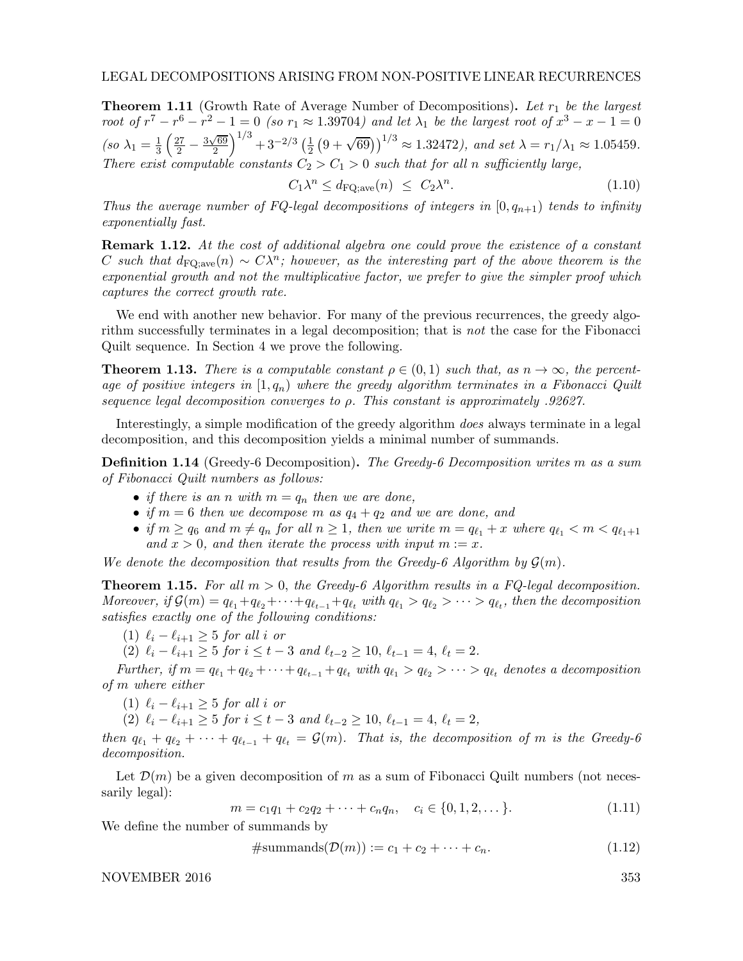**Theorem 1.11** (Growth Rate of Average Number of Decompositions). Let  $r_1$  be the largest root of  $r^7 - r^6 - r^2 - 1 = 0$  (so  $r_1 \approx 1.39704$ ) and let  $\lambda_1$  be the largest root of  $x^3 - x - 1 = 0$  $\left( so\ \lambda_{1}=\frac{1}{3}\right)$  $rac{1}{3}\left(\frac{27}{2}-\frac{3\sqrt{69}}{2}\right)$  $\left(\frac{\sqrt{69}}{2}\right)^{1/3}+3^{-2/3}$   $\left(\frac{1}{2}\right)$  $\frac{1}{2}(9+\sqrt{69}))^{1/3} \approx 1.32472$ ), and set  $\lambda = r_1/\lambda_1 \approx 1.05459$ . There exist computable constants  $C_2 > C_1 > 0$  such that for all n sufficiently large,

$$
C_1 \lambda^n \le d_{\text{FQ};\text{ave}}(n) \le C_2 \lambda^n. \tag{1.10}
$$

Thus the average number of FQ-legal decompositions of integers in  $[0, q_{n+1})$  tends to infinity exponentially fast.

**Remark 1.12.** At the cost of additional algebra one could prove the existence of a constant C such that  $d_{\text{FQ};\text{ave}}(n) \sim C\lambda^n$ ; however, as the interesting part of the above theorem is the exponential growth and not the multiplicative factor, we prefer to give the simpler proof which captures the correct growth rate.

We end with another new behavior. For many of the previous recurrences, the greedy algorithm successfully terminates in a legal decomposition; that is not the case for the Fibonacci Quilt sequence. In Section 4 we prove the following.

**Theorem 1.13.** There is a computable constant  $\rho \in (0,1)$  such that, as  $n \to \infty$ , the percentage of positive integers in  $[1, q_n)$  where the greedy algorithm terminates in a Fibonacci Quilt sequence legal decomposition converges to ρ. This constant is approximately .92627.

Interestingly, a simple modification of the greedy algorithm *does* always terminate in a legal decomposition, and this decomposition yields a minimal number of summands.

**Definition 1.14** (Greedy-6 Decomposition). The Greedy-6 Decomposition writes m as a sum of Fibonacci Quilt numbers as follows:

- if there is an n with  $m = q_n$  then we are done,
- if  $m = 6$  then we decompose m as  $q_4 + q_2$  and we are done, and
- if  $m \ge q_6$  and  $m \ne q_n$  for all  $n \ge 1$ , then we write  $m = q_{\ell_1} + x$  where  $q_{\ell_1} < m < q_{\ell_1+1}$ and  $x > 0$ , and then iterate the process with input  $m := x$ .

We denote the decomposition that results from the Greedy-6 Algorithm by  $\mathcal{G}(m)$ .

**Theorem 1.15.** For all  $m > 0$ , the Greedy-6 Algorithm results in a FQ-legal decomposition. Moreover, if  $G(m) = q_{\ell_1} + q_{\ell_2} + \cdots + q_{\ell_{t-1}} + q_{\ell_t}$  with  $q_{\ell_1} > q_{\ell_2} > \cdots > q_{\ell_t}$ , then the decomposition satisfies exactly one of the following conditions:

(1)  $\ell_i - \ell_{i+1} \geq 5$  for all i or

(2)  $\ell_i - \ell_{i+1} \geq 5$  for  $i \leq t-3$  and  $\ell_{t-2} \geq 10$ ,  $\ell_{t-1} = 4$ ,  $\ell_t = 2$ .

Further, if  $m = q_{\ell_1} + q_{\ell_2} + \cdots + q_{\ell_{t-1}} + q_{\ell_t}$  with  $q_{\ell_1} > q_{\ell_2} > \cdots > q_{\ell_t}$  denotes a decomposition of m where either

(1)  $\ell_i - \ell_{i+1} > 5$  for all i or

(2)  $\ell_i - \ell_{i+1} \geq 5$  for  $i \leq t-3$  and  $\ell_{t-2} \geq 10$ ,  $\ell_{t-1} = 4$ ,  $\ell_t = 2$ ,

then  $q_{\ell_1} + q_{\ell_2} + \cdots + q_{\ell_{t-1}} + q_{\ell_t} = \mathcal{G}(m)$ . That is, the decomposition of m is the Greedy-6 decomposition.

Let  $\mathcal{D}(m)$  be a given decomposition of m as a sum of Fibonacci Quilt numbers (not necessarily legal):

$$
m = c_1 q_1 + c_2 q_2 + \dots + c_n q_n, \quad c_i \in \{0, 1, 2, \dots\}.
$$
\n(1.11)

We define the number of summands by

$$
\#summands(\mathcal{D}(m)) := c_1 + c_2 + \dots + c_n. \tag{1.12}
$$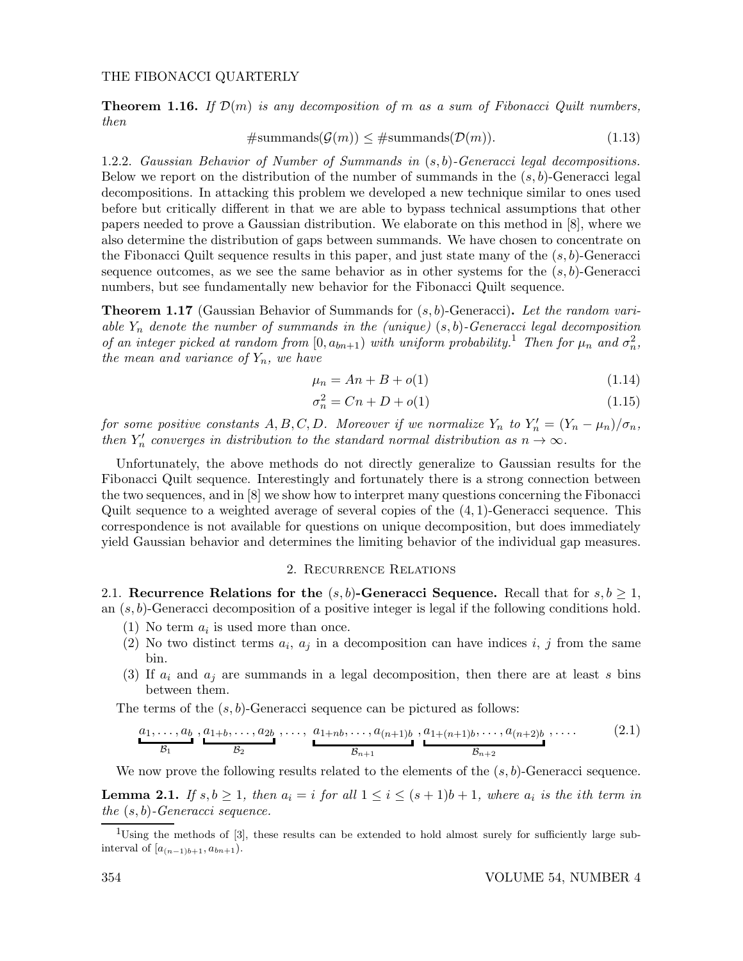**Theorem 1.16.** If  $\mathcal{D}(m)$  is any decomposition of m as a sum of Fibonacci Quilt numbers, then

$$
\#summands(\mathcal{G}(m)) \leq \#summands(\mathcal{D}(m)).\tag{1.13}
$$

1.2.2. Gaussian Behavior of Number of Summands in (s, b)-Generacci legal decompositions. Below we report on the distribution of the number of summands in the  $(s, b)$ -Generacci legal decompositions. In attacking this problem we developed a new technique similar to ones used before but critically different in that we are able to bypass technical assumptions that other papers needed to prove a Gaussian distribution. We elaborate on this method in [8], where we also determine the distribution of gaps between summands. We have chosen to concentrate on the Fibonacci Quilt sequence results in this paper, and just state many of the  $(s, b)$ -Generacci sequence outcomes, as we see the same behavior as in other systems for the  $(s, b)$ -Generacci numbers, but see fundamentally new behavior for the Fibonacci Quilt sequence.

**Theorem 1.17** (Gaussian Behavior of Summands for  $(s, b)$ -Generacci). Let the random variable  $Y_n$  denote the number of summands in the (unique)  $(s, b)$ -Generacci legal decomposition of an integer picked at random from  $[0, a_{bn+1})$  with uniform probability.<sup>1</sup> Then for  $\mu_n$  and  $\sigma_n^2$ , the mean and variance of  $Y_n$ , we have

$$
\mu_n = An + B + o(1) \tag{1.14}
$$

$$
\sigma_n^2 = Cn + D + o(1) \tag{1.15}
$$

for some positive constants  $A, B, C, D$ . Moreover if we normalize  $Y_n$  to  $Y'_n = (Y_n - \mu_n)/\sigma_n$ , then  $Y'_n$  converges in distribution to the standard normal distribution as  $n \to \infty$ .

Unfortunately, the above methods do not directly generalize to Gaussian results for the Fibonacci Quilt sequence. Interestingly and fortunately there is a strong connection between the two sequences, and in [8] we show how to interpret many questions concerning the Fibonacci Quilt sequence to a weighted average of several copies of the  $(4, 1)$ -Generacci sequence. This correspondence is not available for questions on unique decomposition, but does immediately yield Gaussian behavior and determines the limiting behavior of the individual gap measures.

### 2. Recurrence Relations

2.1. Recurrence Relations for the  $(s, b)$ -Generacci Sequence. Recall that for  $s, b \geq 1$ , an  $(s, b)$ -Generacci decomposition of a positive integer is legal if the following conditions hold.

- (1) No term  $a_i$  is used more than once.
- (2) No two distinct terms  $a_i$ ,  $a_j$  in a decomposition can have indices i, j from the same bin.
- (3) If  $a_i$  and  $a_j$  are summands in a legal decomposition, then there are at least s bins between them.

The terms of the  $(s, b)$ -Generacci sequence can be pictured as follows:

$$
\underbrace{a_1, \ldots, a_b}_{\mathcal{B}_1}, \underbrace{a_{1+b}, \ldots, a_{2b}}_{\mathcal{B}_2}, \ldots, \underbrace{a_{1+nb}, \ldots, a_{(n+1)b}}_{\mathcal{B}_{n+1}}, \underbrace{a_{1+(n+1)b}, \ldots, a_{(n+2)b}}_{\mathcal{B}_{n+2}}, \ldots
$$
 (2.1)

We now prove the following results related to the elements of the  $(s, b)$ -Generacci sequence.

**Lemma 2.1.** If  $s, b \geq 1$ , then  $a_i = i$  for all  $1 \leq i \leq (s+1)b+1$ , where  $a_i$  is the ith term in the  $(s, b)$ -Generacci sequence.

<sup>&</sup>lt;sup>1</sup>Using the methods of [3], these results can be extended to hold almost surely for sufficiently large subinterval of  $[a_{(n-1)b+1}, a_{bn+1}).$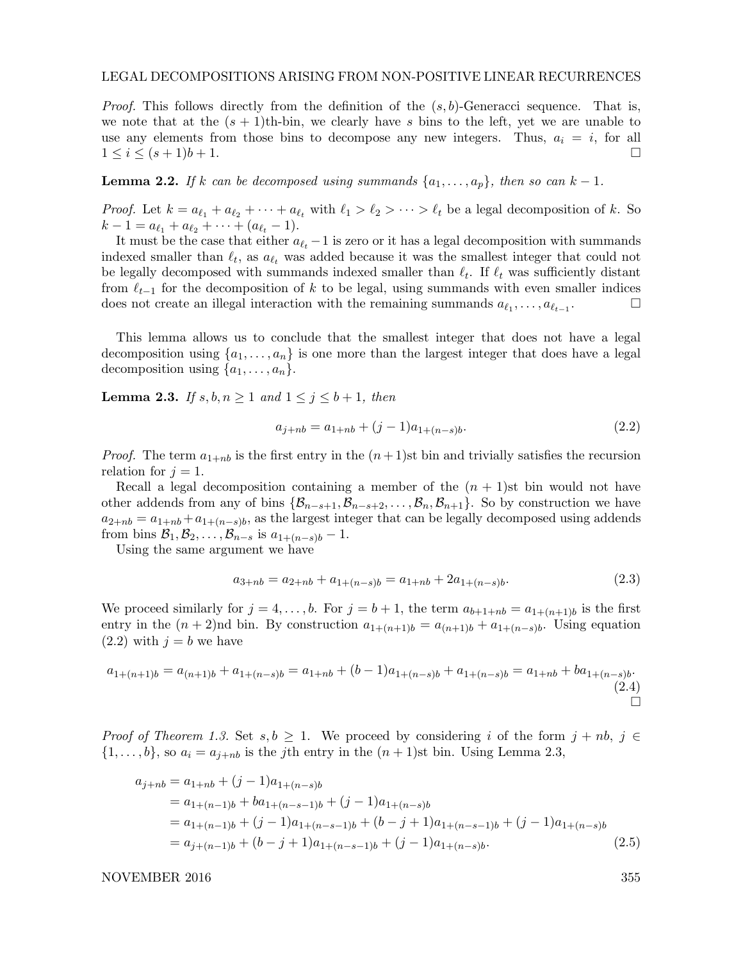*Proof.* This follows directly from the definition of the  $(s, b)$ -Generacci sequence. That is, we note that at the  $(s + 1)$ th-bin, we clearly have s bins to the left, yet we are unable to use any elements from those bins to decompose any new integers. Thus,  $a_i = i$ , for all  $1 \leq i \leq (s+1)b+1.$ 

**Lemma 2.2.** If k can be decomposed using summands  $\{a_1, \ldots, a_p\}$ , then so can  $k-1$ .

*Proof.* Let  $k = a_{\ell_1} + a_{\ell_2} + \cdots + a_{\ell_t}$  with  $\ell_1 > \ell_2 > \cdots > \ell_t$  be a legal decomposition of k. So  $k-1 = a_{\ell_1} + a_{\ell_2} + \cdots + (a_{\ell_t} - 1).$ 

It must be the case that either  $a_{\ell_t} - 1$  is zero or it has a legal decomposition with summands indexed smaller than  $\ell_t$ , as  $a_{\ell_t}$  was added because it was the smallest integer that could not be legally decomposed with summands indexed smaller than  $\ell_t$ . If  $\ell_t$  was sufficiently distant from  $\ell_{t-1}$  for the decomposition of k to be legal, using summands with even smaller indices does not create an illegal interaction with the remaining summands  $a_{\ell_1}, \ldots, a_{\ell_{t-1}}$ .

This lemma allows us to conclude that the smallest integer that does not have a legal decomposition using  $\{a_1, \ldots, a_n\}$  is one more than the largest integer that does have a legal decomposition using  $\{a_1, \ldots, a_n\}.$ 

**Lemma 2.3.** If  $s, b, n \ge 1$  and  $1 \le j \le b+1$ , then

$$
a_{j+nb} = a_{1+nb} + (j-1)a_{1+(n-s)b}.\tag{2.2}
$$

*Proof.* The term  $a_{1+nb}$  is the first entry in the  $(n+1)$ st bin and trivially satisfies the recursion relation for  $j = 1$ .

Recall a legal decomposition containing a member of the  $(n + 1)$ st bin would not have other addends from any of bins  $\{\mathcal{B}_{n-s+1},\mathcal{B}_{n-s+2},\ldots,\mathcal{B}_n,\mathcal{B}_{n+1}\}\.$  So by construction we have  $a_{2+nb} = a_{1+nb} + a_{1+(n-s)b}$ , as the largest integer that can be legally decomposed using addends from bins  $\mathcal{B}_1, \mathcal{B}_2, \ldots, \mathcal{B}_{n-s}$  is  $a_{1+(n-s)b} - 1$ .

Using the same argument we have

$$
a_{3+nb} = a_{2+nb} + a_{1+(n-s)b} = a_{1+nb} + 2a_{1+(n-s)b}.
$$
\n(2.3)

We proceed similarly for  $j = 4, \ldots, b$ . For  $j = b + 1$ , the term  $a_{b+1+nb} = a_{1+(n+1)b}$  is the first entry in the  $(n+2)$ nd bin. By construction  $a_{1+(n+1)b} = a_{(n+1)b} + a_{1+(n-s)b}$ . Using equation  $(2.2)$  with  $j = b$  we have

$$
a_{1+(n+1)b} = a_{(n+1)b} + a_{1+(n-s)b} = a_{1+nb} + (b-1)a_{1+(n-s)b} + a_{1+(n-s)b} = a_{1+nb} + ba_{1+(n-s)b}.
$$
\n(2.4)

*Proof of Theorem 1.3.* Set  $s, b \geq 1$ . We proceed by considering i of the form  $j + nb$ ,  $j \in$  $\{1,\ldots,b\}$ , so  $a_i = a_{i+n}$  is the j<sup>th</sup> entry in the  $(n+1)$ st bin. Using Lemma 2.3,

$$
a_{j+nb} = a_{1+nb} + (j-1)a_{1+(n-s)b}
$$
  
=  $a_{1+(n-1)b} + ba_{1+(n-s-1)b} + (j-1)a_{1+(n-s)b}$   
=  $a_{1+(n-1)b} + (j-1)a_{1+(n-s-1)b} + (b-j+1)a_{1+(n-s-1)b} + (j-1)a_{1+(n-s)b}$   
=  $a_{j+(n-1)b} + (b-j+1)a_{1+(n-s-1)b} + (j-1)a_{1+(n-s)b}$ . (2.5)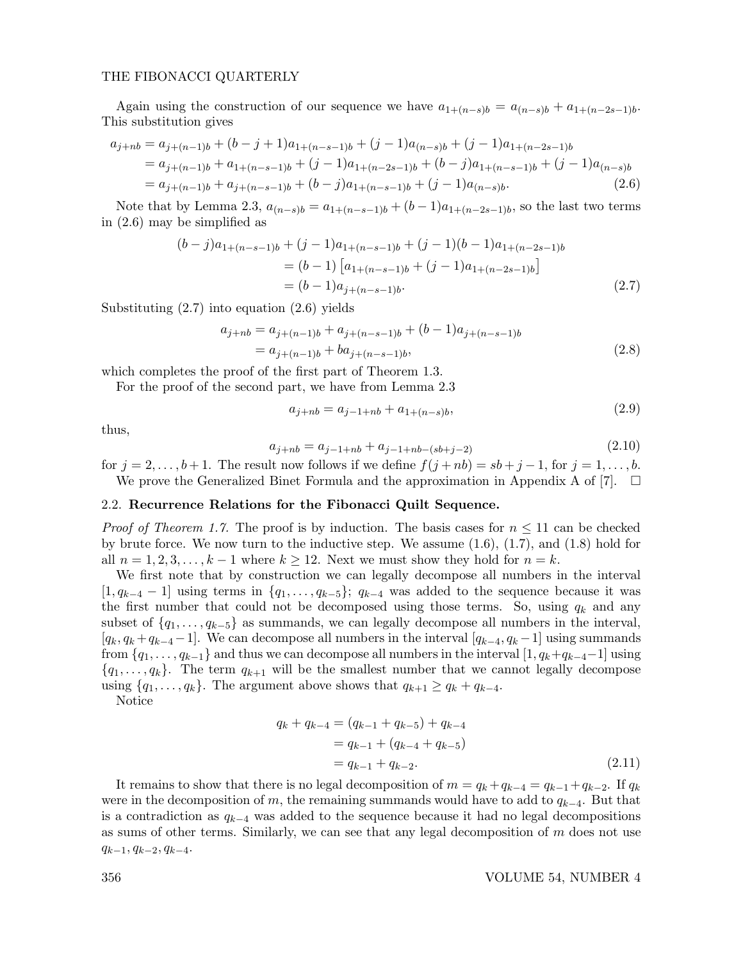Again using the construction of our sequence we have  $a_{1+(n-s)b} = a_{(n-s)b} + a_{1+(n-2s-1)b}$ . This substitution gives

$$
a_{j+nb} = a_{j+(n-1)b} + (b-j+1)a_{1+(n-s-1)b} + (j-1)a_{(n-s)b} + (j-1)a_{1+(n-2s-1)b}
$$
  
=  $a_{j+(n-1)b} + a_{1+(n-s-1)b} + (j-1)a_{1+(n-2s-1)b} + (b-j)a_{1+(n-s-1)b} + (j-1)a_{(n-s)b}$   
=  $a_{j+(n-1)b} + a_{j+(n-s-1)b} + (b-j)a_{1+(n-s-1)b} + (j-1)a_{(n-s)b}$ . (2.6)

Note that by Lemma 2.3,  $a_{(n-s)b} = a_{1+(n-s-1)b} + (b-1)a_{1+(n-2s-1)b}$ , so the last two terms in (2.6) may be simplified as

$$
(b-j)a_{1+(n-s-1)b} + (j-1)a_{1+(n-s-1)b} + (j-1)(b-1)a_{1+(n-2s-1)b}
$$
  
=  $(b-1) [a_{1+(n-s-1)b} + (j-1)a_{1+(n-2s-1)b}]$   
=  $(b-1)a_{j+(n-s-1)b}$ . (2.7)

Substituting  $(2.7)$  into equation  $(2.6)$  yields

$$
a_{j+nb} = a_{j+(n-1)b} + a_{j+(n-s-1)b} + (b-1)a_{j+(n-s-1)b}
$$
  
=  $a_{j+(n-1)b} + ba_{j+(n-s-1)b}$ , (2.8)

which completes the proof of the first part of Theorem 1.3.

For the proof of the second part, we have from Lemma 2.3

$$
a_{j+nb} = a_{j-1+nb} + a_{1+(n-s)b},
$$
\n(2.9)

thus,

$$
a_{j+nb} = a_{j-1+nb} + a_{j-1+nb-(sb+j-2)}
$$
\n(2.10)

for  $j = 2, \ldots, b+1$ . The result now follows if we define  $f(j + nb) = sb + j - 1$ , for  $j = 1, \ldots, b$ . We prove the Generalized Binet Formula and the approximation in Appendix A of [7].  $\Box$ 

# 2.2. Recurrence Relations for the Fibonacci Quilt Sequence.

*Proof of Theorem 1.7.* The proof is by induction. The basis cases for  $n \leq 11$  can be checked by brute force. We now turn to the inductive step. We assume  $(1.6)$ ,  $(1.7)$ , and  $(1.8)$  hold for all  $n = 1, 2, 3, \ldots, k - 1$  where  $k \ge 12$ . Next we must show they hold for  $n = k$ .

We first note that by construction we can legally decompose all numbers in the interval  $[1, q_{k-4} - 1]$  using terms in  $\{q_1, \ldots, q_{k-5}\}; q_{k-4}$  was added to the sequence because it was the first number that could not be decomposed using those terms. So, using  $q_k$  and any subset of  $\{q_1, \ldots, q_{k-5}\}\$ as summands, we can legally decompose all numbers in the interval,  $[q_k, q_k+q_{k-4}-1]$ . We can decompose all numbers in the interval  $[q_{k-4}, q_k-1]$  using summands from  $\{q_1, \ldots, q_{k-1}\}\$  and thus we can decompose all numbers in the interval  $[1, q_k+q_{k-4}-1]$  using  $\{q_1, \ldots, q_k\}$ . The term  $q_{k+1}$  will be the smallest number that we cannot legally decompose using  $\{q_1, \ldots, q_k\}$ . The argument above shows that  $q_{k+1} \geq q_k + q_{k-4}$ .

Notice

$$
q_k + q_{k-4} = (q_{k-1} + q_{k-5}) + q_{k-4}
$$
  
=  $q_{k-1} + (q_{k-4} + q_{k-5})$   
=  $q_{k-1} + q_{k-2}$ . (2.11)

It remains to show that there is no legal decomposition of  $m = q_k + q_{k-4} = q_{k-1} + q_{k-2}$ . If  $q_k$ were in the decomposition of m, the remaining summands would have to add to  $q_{k-4}$ . But that is a contradiction as  $q_{k-4}$  was added to the sequence because it had no legal decompositions as sums of other terms. Similarly, we can see that any legal decomposition of  $m$  does not use  $q_{k-1}, q_{k-2}, q_{k-4}.$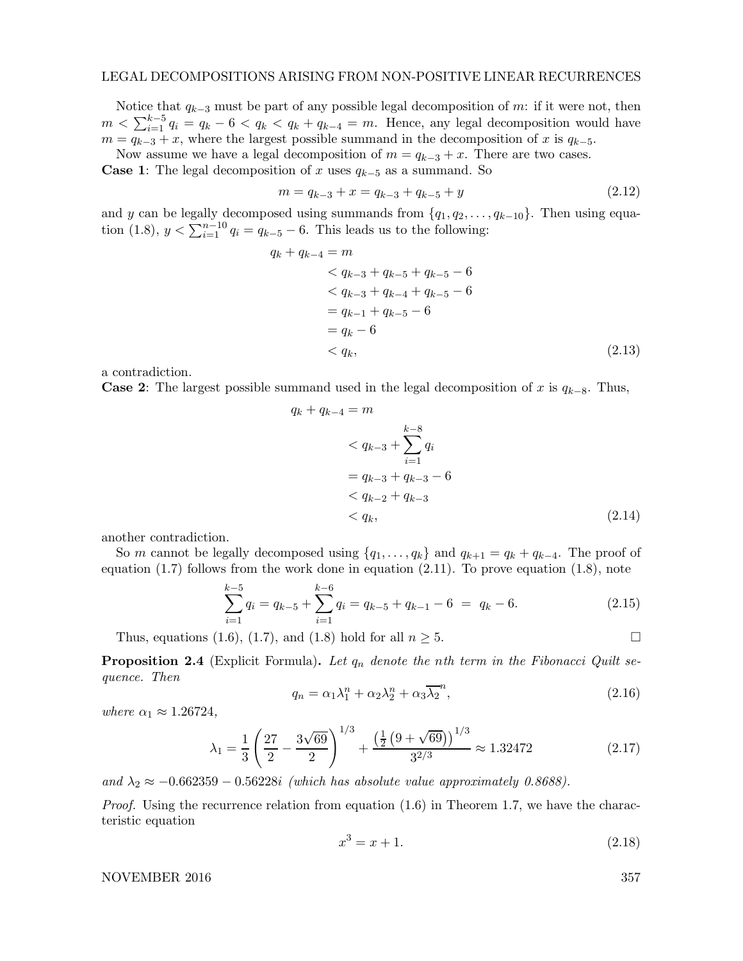Notice that  $q_{k-3}$  must be part of any possible legal decomposition of m: if it were not, then  $m < \sum_{i=1}^{k-5} q_i = q_k - 6 < q_k < q_k + q_{k-4} = m$ . Hence, any legal decomposition would have  $m = q_{k-3} + x$ , where the largest possible summand in the decomposition of x is  $q_{k-5}$ .

Now assume we have a legal decomposition of  $m = q_{k-3} + x$ . There are two cases.

**Case 1:** The legal decomposition of x uses  $q_{k-5}$  as a summand. So

$$
m = q_{k-3} + x = q_{k-3} + q_{k-5} + y \tag{2.12}
$$

and y can be legally decomposed using summands from  $\{q_1, q_2, \ldots, q_{k-10}\}$ . Then using equation (1.8),  $y < \sum_{i=1}^{n-10} q_i = q_{k-5} - 6$ . This leads us to the following:

$$
q_k + q_{k-4} = m
$$
  
\n
$$
< q_{k-3} + q_{k-5} + q_{k-5} - 6
$$
  
\n
$$
< q_{k-3} + q_{k-4} + q_{k-5} - 6
$$
  
\n
$$
= q_{k-1} + q_{k-5} - 6
$$
  
\n
$$
= q_k - 6
$$
  
\n
$$
< q_k,
$$
\n(2.13)

a contradiction.

**Case 2:** The largest possible summand used in the legal decomposition of x is  $q_{k-8}$ . Thus,

$$
q_k + q_{k-4} = m
$$
  
\n
$$
\langle q_{k-3} + \sum_{i=1}^{k-8} q_i
$$
  
\n
$$
= q_{k-3} + q_{k-3} - 6
$$
  
\n
$$
\langle q_{k-2} + q_{k-3} - 6 \rangle
$$
  
\n
$$
\langle q_k, (2.14)
$$

another contradiction.

So m cannot be legally decomposed using  $\{q_1, \ldots, q_k\}$  and  $q_{k+1} = q_k + q_{k-4}$ . The proof of equation  $(1.7)$  follows from the work done in equation  $(2.11)$ . To prove equation  $(1.8)$ , note

$$
\sum_{i=1}^{k-5} q_i = q_{k-5} + \sum_{i=1}^{k-6} q_i = q_{k-5} + q_{k-1} - 6 = q_k - 6.
$$
 (2.15)

Thus, equations (1.6), (1.7), and (1.8) hold for all  $n \geq 5$ .

**Proposition 2.4** (Explicit Formula). Let  $q_n$  denote the nth term in the Fibonacci Quilt sequence. Then

$$
q_n = \alpha_1 \lambda_1^n + \alpha_2 \lambda_2^n + \alpha_3 \overline{\lambda_2}^n, \qquad (2.16)
$$

where  $\alpha_1 \approx 1.26724$ ,

$$
\lambda_1 = \frac{1}{3} \left( \frac{27}{2} - \frac{3\sqrt{69}}{2} \right)^{1/3} + \frac{\left( \frac{1}{2} \left( 9 + \sqrt{69} \right) \right)^{1/3}}{3^{2/3}} \approx 1.32472 \tag{2.17}
$$

and  $\lambda_2 \approx -0.662359 - 0.56228i$  (which has absolute value approximately 0.8688).

*Proof.* Using the recurrence relation from equation  $(1.6)$  in Theorem 1.7, we have the characteristic equation

$$
x^3 = x + 1.\t(2.18)
$$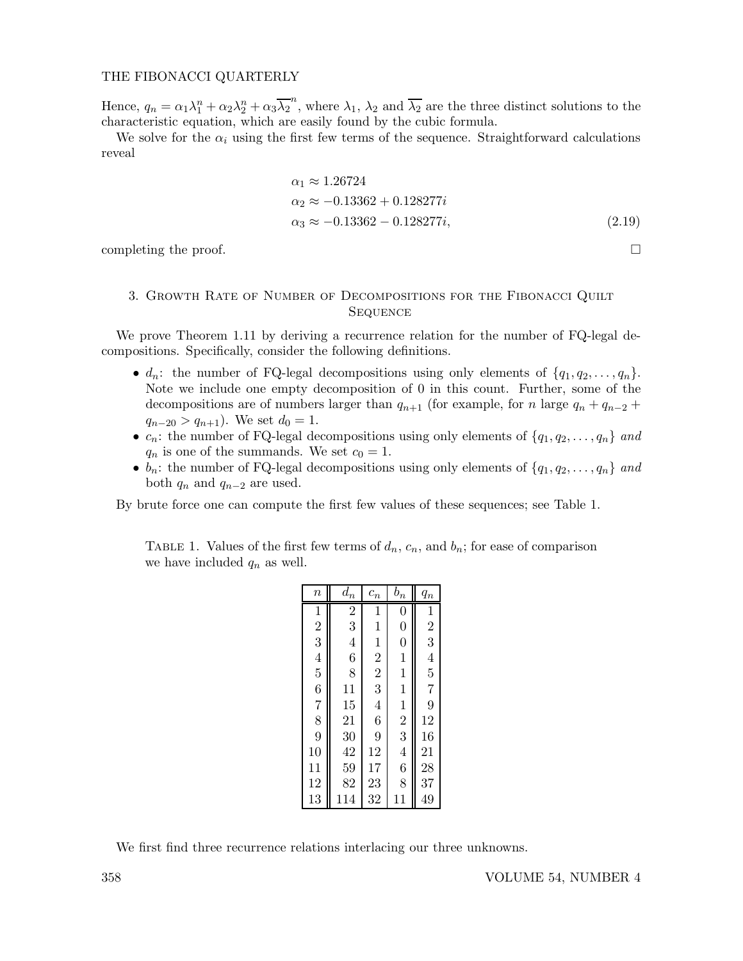Hence,  $q_n = \alpha_1 \lambda_1^n + \alpha_2 \lambda_2^n + \alpha_3 \overline{\lambda_2}^n$ , where  $\lambda_1$ ,  $\lambda_2$  and  $\overline{\lambda_2}$  are the three distinct solutions to the characteristic equation, which are easily found by the cubic formula.

We solve for the  $\alpha_i$  using the first few terms of the sequence. Straightforward calculations reveal

$$
\alpha_1 \approx 1.26724
$$
  
\n
$$
\alpha_2 \approx -0.13362 + 0.128277i
$$
  
\n
$$
\alpha_3 \approx -0.13362 - 0.128277i,
$$
\n(2.19)

completing the proof.  $\Box$ 

# 3. Growth Rate of Number of Decompositions for the Fibonacci Quilt **SEQUENCE**

We prove Theorem 1.11 by deriving a recurrence relation for the number of FQ-legal decompositions. Specifically, consider the following definitions.

- $d_n$ : the number of FQ-legal decompositions using only elements of  $\{q_1, q_2, \ldots, q_n\}$ . Note we include one empty decomposition of 0 in this count. Further, some of the decompositions are of numbers larger than  $q_{n+1}$  (for example, for n large  $q_n + q_{n-2}$  +  $q_{n-20} > q_{n+1}$ ). We set  $d_0 = 1$ .
- $c_n$ : the number of FQ-legal decompositions using only elements of  $\{q_1, q_2, \ldots, q_n\}$  and  $q_n$  is one of the summands. We set  $c_0 = 1$ .
- $b_n$ : the number of FQ-legal decompositions using only elements of  $\{q_1, q_2, \ldots, q_n\}$  and both  $q_n$  and  $q_{n-2}$  are used.

By brute force one can compute the first few values of these sequences; see Table 1.

TABLE 1. Values of the first few terms of  $d_n$ ,  $c_n$ , and  $b_n$ ; for ease of comparison we have included  $q_n$  as well.

| $\it n$                     | $\mathfrak{d}_n$         | $\mathfrak{c}_n$                          | $b_n$            | $q_n$                                           |
|-----------------------------|--------------------------|-------------------------------------------|------------------|-------------------------------------------------|
|                             | $\overline{\frac{2}{3}}$ |                                           | $\boldsymbol{0}$ |                                                 |
|                             |                          |                                           | $\overline{0}$   | $\frac{1}{2}$                                   |
|                             | $\overline{4}$           |                                           | $\overline{0}$   |                                                 |
|                             | $\overline{6}$           | $\frac{1}{1}$ $\frac{1}{2}$ $\frac{2}{3}$ | $\mathbf{1}$     | $\begin{array}{c} 4 \\ 5 \\ 7 \\ 9 \end{array}$ |
|                             | 8                        |                                           | $\mathbf{1}$     |                                                 |
|                             | 11                       |                                           | $\mathbf{1}$     |                                                 |
|                             | 15                       | $\overline{4}$                            |                  |                                                 |
| $1\,2\,3\,4\,5\,6\,7\,8\,9$ | 21                       | $\frac{6}{9}$                             | $\frac{1}{2}$    | 12                                              |
|                             | 30                       |                                           |                  | 16                                              |
| 10                          | 42                       | 12                                        | $\overline{4}$   | 21                                              |
| 11                          | 59                       | 17                                        | 6                | 28                                              |
| 12                          | 82                       | 23                                        | 8                | 37                                              |
| 13                          | 114                      | 32                                        | 11               | 49                                              |

We first find three recurrence relations interlacing our three unknowns.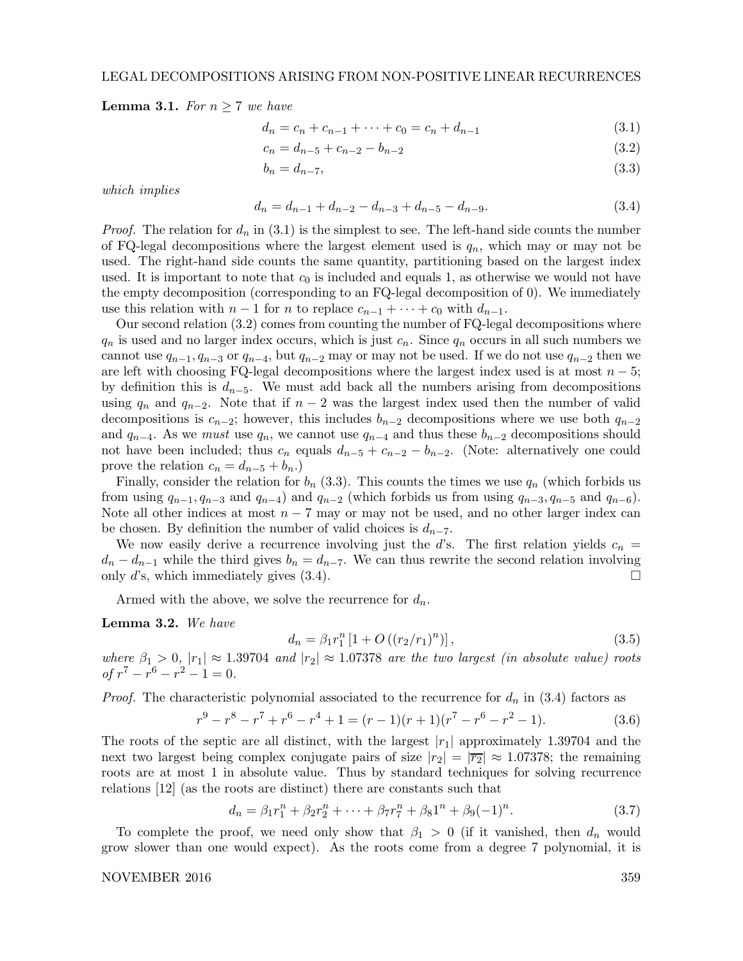**Lemma 3.1.** For  $n \geq 7$  we have

$$
d_n = c_n + c_{n-1} + \dots + c_0 = c_n + d_{n-1}
$$
\n(3.1)

$$
c_n = d_{n-5} + c_{n-2} - b_{n-2} \tag{3.2}
$$

$$
b_n = d_{n-7},\tag{3.3}
$$

which implies

$$
d_n = d_{n-1} + d_{n-2} - d_{n-3} + d_{n-5} - d_{n-9}.
$$
\n(3.4)

*Proof.* The relation for  $d_n$  in (3.1) is the simplest to see. The left-hand side counts the number of FQ-legal decompositions where the largest element used is  $q_n$ , which may or may not be used. The right-hand side counts the same quantity, partitioning based on the largest index used. It is important to note that  $c_0$  is included and equals 1, as otherwise we would not have the empty decomposition (corresponding to an FQ-legal decomposition of 0). We immediately use this relation with  $n-1$  for n to replace  $c_{n-1} + \cdots + c_0$  with  $d_{n-1}$ .

Our second relation (3.2) comes from counting the number of FQ-legal decompositions where  $q_n$  is used and no larger index occurs, which is just  $c_n$ . Since  $q_n$  occurs in all such numbers we cannot use  $q_{n-1}, q_{n-3}$  or  $q_{n-4}$ , but  $q_{n-2}$  may or may not be used. If we do not use  $q_{n-2}$  then we are left with choosing FQ-legal decompositions where the largest index used is at most  $n-5$ ; by definition this is  $d_{n-5}$ . We must add back all the numbers arising from decompositions using  $q_n$  and  $q_{n-2}$ . Note that if  $n-2$  was the largest index used then the number of valid decompositions is  $c_{n-2}$ ; however, this includes  $b_{n-2}$  decompositions where we use both  $q_{n-2}$ and  $q_{n-4}$ . As we must use  $q_n$ , we cannot use  $q_{n-4}$  and thus these  $b_{n-2}$  decompositions should not have been included; thus  $c_n$  equals  $d_{n-5} + c_{n-2} - b_{n-2}$ . (Note: alternatively one could prove the relation  $c_n = d_{n-5} + b_n$ .

Finally, consider the relation for  $b_n$  (3.3). This counts the times we use  $q_n$  (which forbids us from using  $q_{n-1}, q_{n-3}$  and  $q_{n-4}$ ) and  $q_{n-2}$  (which forbids us from using  $q_{n-3}, q_{n-5}$  and  $q_{n-6}$ ). Note all other indices at most  $n - 7$  may or may not be used, and no other larger index can be chosen. By definition the number of valid choices is  $d_{n-7}$ .

We now easily derive a recurrence involving just the d's. The first relation yields  $c_n =$  $d_n - d_{n-1}$  while the third gives  $b_n = d_{n-7}$ . We can thus rewrite the second relation involving only d's which immediately gives (3.4) only d's, which immediately gives (3.4).

Armed with the above, we solve the recurrence for  $d_n$ .

Lemma 3.2. We have

$$
d_n = \beta_1 r_1^n \left[ 1 + O\left( (r_2/r_1)^n \right) \right],\tag{3.5}
$$

where  $\beta_1 > 0$ ,  $|r_1| \approx 1.39704$  and  $|r_2| \approx 1.07378$  are the two largest (in absolute value) roots  $of r^7 - r^6 - r^2 - 1 = 0.$ 

*Proof.* The characteristic polynomial associated to the recurrence for  $d_n$  in (3.4) factors as

$$
r^{9} - r^{8} - r^{7} + r^{6} - r^{4} + 1 = (r - 1)(r + 1)(r^{7} - r^{6} - r^{2} - 1).
$$
 (3.6)

The roots of the septic are all distinct, with the largest  $|r_1|$  approximately 1.39704 and the next two largest being complex conjugate pairs of size  $|r_2| = |\overline{r_2}| \approx 1.07378$ ; the remaining roots are at most 1 in absolute value. Thus by standard techniques for solving recurrence relations [12] (as the roots are distinct) there are constants such that

$$
d_n = \beta_1 r_1^n + \beta_2 r_2^n + \dots + \beta_7 r_7^n + \beta_8 1^n + \beta_9 (-1)^n. \tag{3.7}
$$

To complete the proof, we need only show that  $\beta_1 > 0$  (if it vanished, then  $d_n$  would grow slower than one would expect). As the roots come from a degree 7 polynomial, it is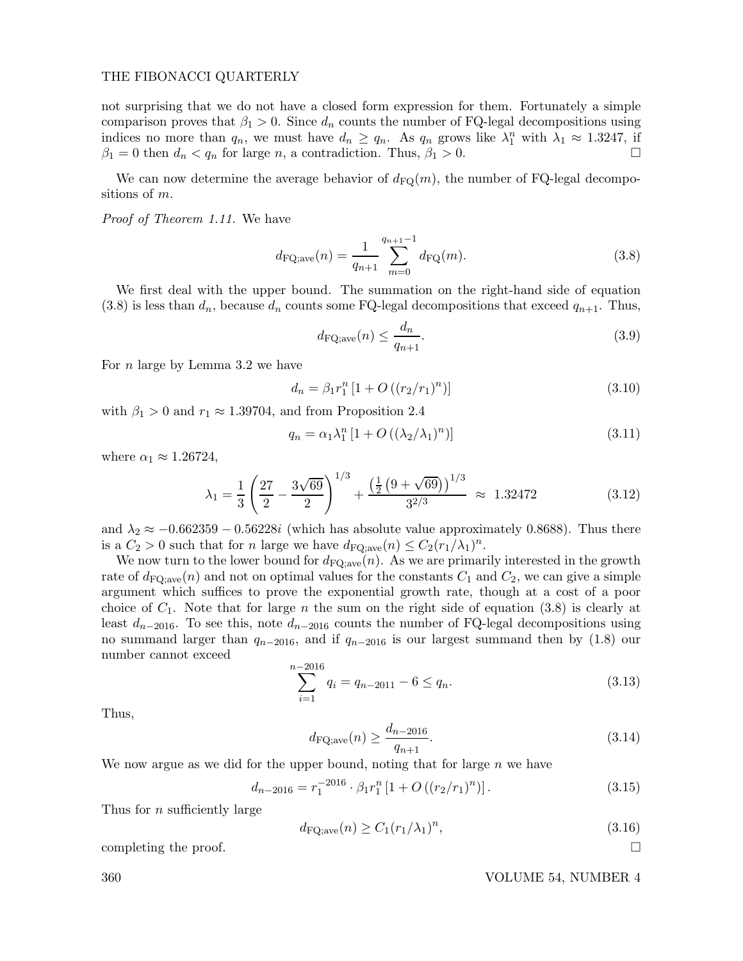not surprising that we do not have a closed form expression for them. Fortunately a simple comparison proves that  $\beta_1 > 0$ . Since  $d_n$  counts the number of FQ-legal decompositions using indices no more than  $q_n$ , we must have  $d_n \ge q_n$ . As  $q_n$  grows like  $\lambda_1^n$  with  $\lambda_1 \approx 1.3247$ , if  $\beta_1 = 0$  then  $d_n < q_n$  for large n, a contradiction. Thus,  $\beta_1 > 0$ .

We can now determine the average behavior of  $d_{\text{FQ}}(m)$ , the number of FQ-legal decompositions of m.

Proof of Theorem 1.11. We have

$$
d_{\text{FQ,ave}}(n) = \frac{1}{q_{n+1}} \sum_{m=0}^{q_{n+1}-1} d_{\text{FQ}}(m).
$$
 (3.8)

We first deal with the upper bound. The summation on the right-hand side of equation  $(3.8)$  is less than  $d_n$ , because  $d_n$  counts some FQ-legal decompositions that exceed  $q_{n+1}$ . Thus,

$$
d_{\rm FQ;ave}(n) \le \frac{d_n}{q_{n+1}}.\tag{3.9}
$$

For n large by Lemma 3.2 we have

$$
d_n = \beta_1 r_1^n \left[ 1 + O\left( (r_2/r_1)^n \right) \right] \tag{3.10}
$$

with  $\beta_1 > 0$  and  $r_1 \approx 1.39704$ , and from Proposition 2.4

$$
q_n = \alpha_1 \lambda_1^n \left[ 1 + O\left( \left( \lambda_2 / \lambda_1 \right)^n \right) \right] \tag{3.11}
$$

where  $\alpha_1 \approx 1.26724$ ,

$$
\lambda_1 = \frac{1}{3} \left( \frac{27}{2} - \frac{3\sqrt{69}}{2} \right)^{1/3} + \frac{\left( \frac{1}{2} \left( 9 + \sqrt{69} \right) \right)^{1/3}}{3^{2/3}} \approx 1.32472 \tag{3.12}
$$

and  $\lambda_2 \approx -0.662359 - 0.56228i$  (which has absolute value approximately 0.8688). Thus there is a  $C_2 > 0$  such that for n large we have  $d_{\text{FQ};\text{ave}}(n) \leq C_2(r_1/\lambda_1)^n$ .

We now turn to the lower bound for  $d_{\text{FQ};ave}(n)$ . As we are primarily interested in the growth rate of  $d_{\text{FQ,ave}}(n)$  and not on optimal values for the constants  $C_1$  and  $C_2$ , we can give a simple argument which suffices to prove the exponential growth rate, though at a cost of a poor choice of  $C_1$ . Note that for large n the sum on the right side of equation (3.8) is clearly at least  $d_{n-2016}$ . To see this, note  $d_{n-2016}$  counts the number of FQ-legal decompositions using no summand larger than  $q_{n-2016}$ , and if  $q_{n-2016}$  is our largest summand then by (1.8) our number cannot exceed

$$
\sum_{i=1}^{n-2016} q_i = q_{n-2011} - 6 \le q_n.
$$
\n(3.13)

Thus,

$$
d_{\rm FQ;ave}(n) \ge \frac{d_{n-2016}}{q_{n+1}}.\tag{3.14}
$$

We now argue as we did for the upper bound, noting that for large  $n$  we have

$$
d_{n-2016} = r_1^{-2016} \cdot \beta_1 r_1^n \left[ 1 + O\left( (r_2/r_1)^n \right) \right]. \tag{3.15}
$$

Thus for *n* sufficiently large

$$
d_{\mathrm{FQ;ave}}(n) \ge C_1 (r_1/\lambda_1)^n,\tag{3.16}
$$

completing the proof.  $\Box$ 

360 VOLUME 54, NUMBER 4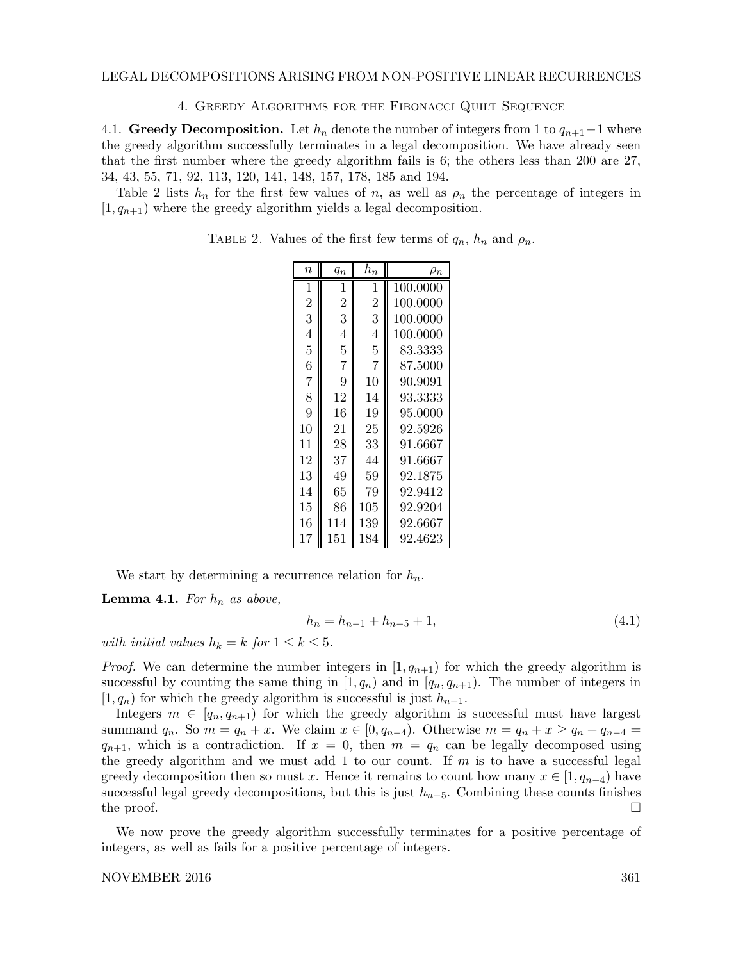4. Greedy Algorithms for the Fibonacci Quilt Sequence

4.1. Greedy Decomposition. Let  $h_n$  denote the number of integers from 1 to  $q_{n+1}-1$  where the greedy algorithm successfully terminates in a legal decomposition. We have already seen that the first number where the greedy algorithm fails is 6; the others less than 200 are 27, 34, 43, 55, 71, 92, 113, 120, 141, 148, 157, 178, 185 and 194.

Table 2 lists  $h_n$  for the first few values of n, as well as  $\rho_n$  the percentage of integers in  $[1, q_{n+1})$  where the greedy algorithm yields a legal decomposition.

| $\eta$         | $q_{n}$        | $h_n$          | $\rho_n$ |
|----------------|----------------|----------------|----------|
| 1              | 1              | 1              | 100.0000 |
| $\overline{2}$ | $\overline{2}$ | $\overline{2}$ | 100.0000 |
| 3              | 3              | 3              | 100.0000 |
| 4              | 4              | 4              | 100.0000 |
| 5              | 5              | 5              | 83.3333  |
| 6              | 7              | 7              | 87.5000  |
| $\overline{7}$ | 9              | 10             | 90.9091  |
| 8              | 12             | 14             | 93.3333  |
| 9              | 16             | 19             | 95.0000  |
| 10             | 21             | 25             | 92.5926  |
| 11             | 28             | 33             | 91.6667  |
| 12             | 37             | 44             | 91.6667  |
| 13             | 49             | 59             | 92.1875  |
| 14             | 65             | 79             | 92.9412  |
| 15             | 86             | 105            | 92.9204  |
| 16             | 114            | 139            | 92.6667  |
| 17             | 151            | 184            | 92.4623  |

TABLE 2. Values of the first few terms of  $q_n$ ,  $h_n$  and  $\rho_n$ .

We start by determining a recurrence relation for  $h_n$ .

**Lemma 4.1.** For  $h_n$  as above,

$$
h_n = h_{n-1} + h_{n-5} + 1,\t\t(4.1)
$$

with initial values  $h_k = k$  for  $1 \leq k \leq 5$ .

*Proof.* We can determine the number integers in  $[1, q_{n+1})$  for which the greedy algorithm is successful by counting the same thing in  $[1, q_n)$  and in  $[q_n, q_{n+1})$ . The number of integers in  $[1, q_n)$  for which the greedy algorithm is successful is just  $h_{n-1}$ .

Integers  $m \in [q_n, q_{n+1})$  for which the greedy algorithm is successful must have largest summand  $q_n$ . So  $m = q_n + x$ . We claim  $x \in [0, q_{n-4})$ . Otherwise  $m = q_n + x \ge q_n + q_{n-4} =$  $q_{n+1}$ , which is a contradiction. If  $x = 0$ , then  $m = q_n$  can be legally decomposed using the greedy algorithm and we must add 1 to our count. If  $m$  is to have a successful legal greedy decomposition then so must x. Hence it remains to count how many  $x \in [1, q_{n-4})$  have successful legal greedy decompositions, but this is just  $h_{n-5}$ . Combining these counts finishes the proof. the proof.  $\Box$ 

We now prove the greedy algorithm successfully terminates for a positive percentage of integers, as well as fails for a positive percentage of integers.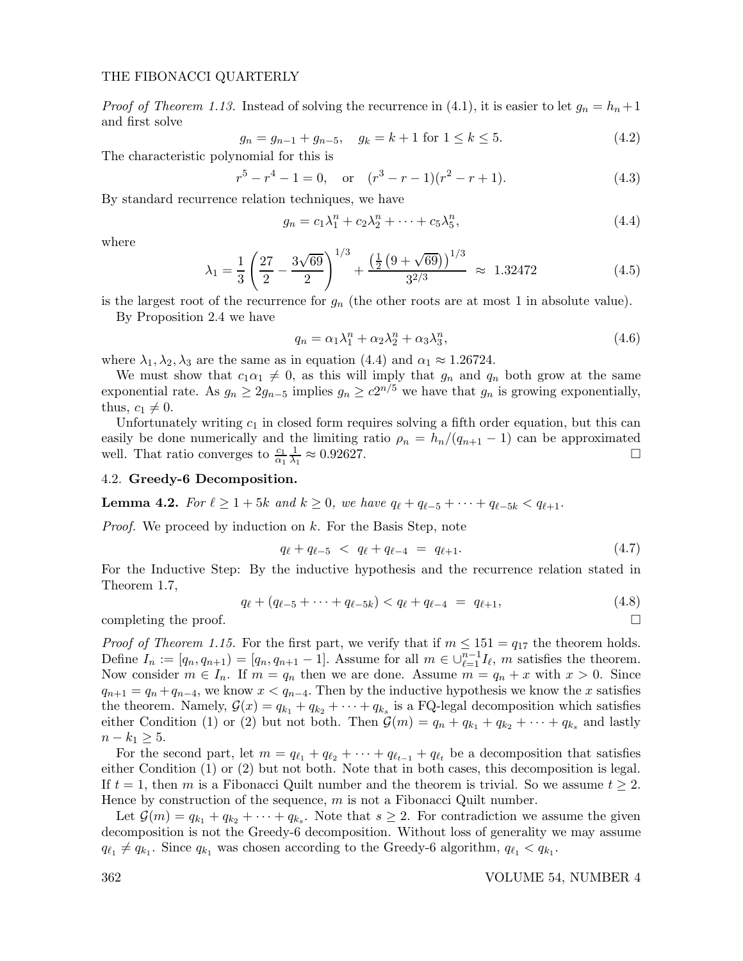*Proof of Theorem 1.13.* Instead of solving the recurrence in (4.1), it is easier to let  $g_n = h_n + 1$ and first solve

$$
g_n = g_{n-1} + g_{n-5}, \quad g_k = k+1 \text{ for } 1 \le k \le 5. \tag{4.2}
$$

The characteristic polynomial for this is

$$
r^{5} - r^{4} - 1 = 0, \quad \text{or} \quad (r^{3} - r - 1)(r^{2} - r + 1). \tag{4.3}
$$

By standard recurrence relation techniques, we have

$$
g_n = c_1 \lambda_1^n + c_2 \lambda_2^n + \dots + c_5 \lambda_5^n, \tag{4.4}
$$

where

$$
\lambda_1 = \frac{1}{3} \left( \frac{27}{2} - \frac{3\sqrt{69}}{2} \right)^{1/3} + \frac{\left( \frac{1}{2} \left( 9 + \sqrt{69} \right) \right)^{1/3}}{3^{2/3}} \approx 1.32472 \tag{4.5}
$$

is the largest root of the recurrence for  $g_n$  (the other roots are at most 1 in absolute value).

By Proposition 2.4 we have

$$
q_n = \alpha_1 \lambda_1^n + \alpha_2 \lambda_2^n + \alpha_3 \lambda_3^n, \tag{4.6}
$$

where  $\lambda_1, \lambda_2, \lambda_3$  are the same as in equation (4.4) and  $\alpha_1 \approx 1.26724$ .

We must show that  $c_1\alpha_1 \neq 0$ , as this will imply that  $g_n$  and  $q_n$  both grow at the same exponential rate. As  $g_n \geq 2g_{n-5}$  implies  $g_n \geq c2^{n/5}$  we have that  $g_n$  is growing exponentially, thus,  $c_1 \neq 0$ .

Unfortunately writing  $c_1$  in closed form requires solving a fifth order equation, but this can easily be done numerically and the limiting ratio  $\rho_n = h_n/(q_{n+1} - 1)$  can be approximated well. That ratio converges to  $\frac{c_1}{\lambda} \frac{1}{n} \approx 0.92627$ . well. That ratio converges to  $\frac{c_1}{\alpha_1}$ 1  $\frac{1}{\lambda_1} \approx 0.92627.$ 

### 4.2. Greedy-6 Decomposition.

**Lemma 4.2.** For  $\ell \geq 1 + 5k$  and  $k \geq 0$ , we have  $q_{\ell} + q_{\ell-5} + \cdots + q_{\ell-5k} < q_{\ell+1}$ .

*Proof.* We proceed by induction on  $k$ . For the Basis Step, note

$$
q_{\ell} + q_{\ell - 5} < q_{\ell} + q_{\ell - 4} = q_{\ell + 1}.\tag{4.7}
$$

For the Inductive Step: By the inductive hypothesis and the recurrence relation stated in Theorem 1.7,

$$
q_{\ell} + (q_{\ell-5} + \dots + q_{\ell-5k}) < q_{\ell} + q_{\ell-4} = q_{\ell+1},\tag{4.8}
$$

completing the proof.  $\Box$ 

*Proof of Theorem 1.15.* For the first part, we verify that if  $m \leq 151 = q_{17}$  the theorem holds. Define  $I_n := [q_n, q_{n+1}] = [q_n, q_{n+1} - 1]$ . Assume for all  $m \in \bigcup_{\ell=1}^{n-1} I_\ell$ , m satisfies the theorem. Now consider  $m \in I_n$ . If  $m = q_n$  then we are done. Assume  $m = q_n + x$  with  $x > 0$ . Since  $q_{n+1} = q_n + q_{n-4}$ , we know  $x < q_{n-4}$ . Then by the inductive hypothesis we know the x satisfies the theorem. Namely,  $\mathcal{G}(x) = q_{k_1} + q_{k_2} + \cdots + q_{k_s}$  is a FQ-legal decomposition which satisfies either Condition (1) or (2) but not both. Then  $\mathcal{G}(m) = q_n + q_{k_1} + q_{k_2} + \cdots + q_{k_s}$  and lastly  $n - k_1 \geq 5$ .

For the second part, let  $m = q_{\ell_1} + q_{\ell_2} + \cdots + q_{\ell_{t-1}} + q_{\ell_t}$  be a decomposition that satisfies either Condition (1) or (2) but not both. Note that in both cases, this decomposition is legal. If  $t = 1$ , then m is a Fibonacci Quilt number and the theorem is trivial. So we assume  $t \geq 2$ . Hence by construction of the sequence,  $m$  is not a Fibonacci Quilt number.

Let  $\mathcal{G}(m) = q_{k_1} + q_{k_2} + \cdots + q_{k_s}$ . Note that  $s \geq 2$ . For contradiction we assume the given decomposition is not the Greedy-6 decomposition. Without loss of generality we may assume  $q_{\ell_1} \neq q_{k_1}$ . Since  $q_{k_1}$  was chosen according to the Greedy-6 algorithm,  $q_{\ell_1} < q_{k_1}$ .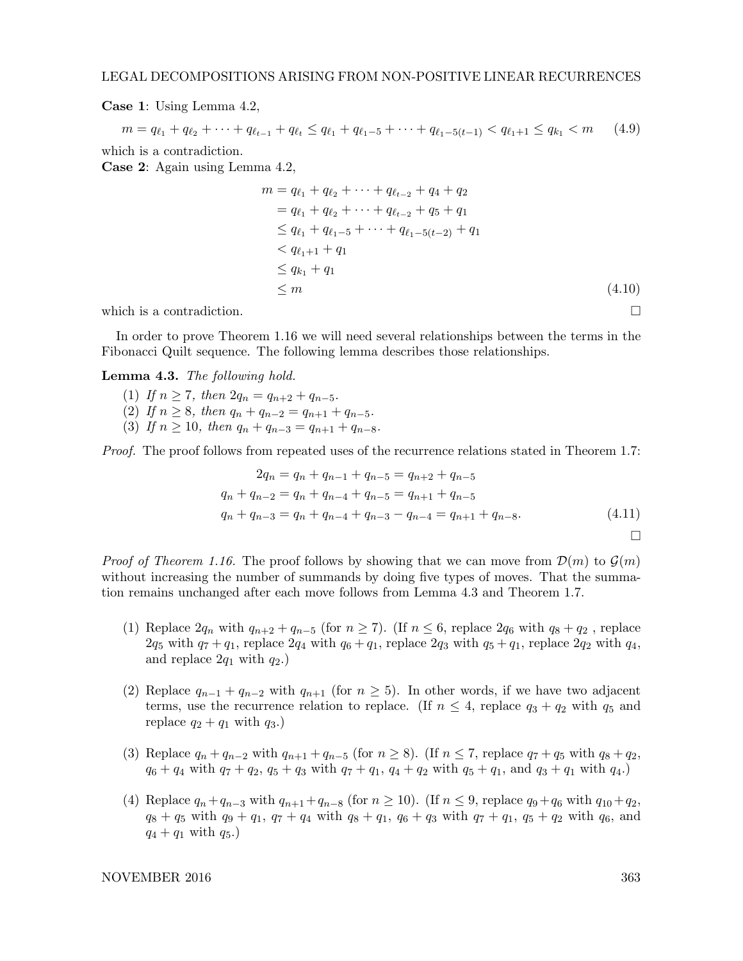Case 1: Using Lemma 4.2,

 $m = q_{\ell_1} + q_{\ell_2} + \cdots + q_{\ell_{t-1}} + q_{\ell_t} \leq q_{\ell_1} + q_{\ell_1 - 5} + \cdots + q_{\ell_1 - 5(t-1)} < q_{\ell_1 + 1} \leq q_{k_1} < m$  (4.9) which is a contradiction.

Case 2: Again using Lemma 4.2,

$$
m = q_{\ell_1} + q_{\ell_2} + \dots + q_{\ell_{t-2}} + q_4 + q_2
$$
  
=  $q_{\ell_1} + q_{\ell_2} + \dots + q_{\ell_{t-2}} + q_5 + q_1$   
 $\leq q_{\ell_1} + q_{\ell_1 - 5} + \dots + q_{\ell_1 - 5(t-2)} + q_1$   
 $< q_{\ell_1 + 1} + q_1$   
 $\leq q_{k_1} + q_1$   
 $\leq m$  (4.10)

which is a contradiction.  $\Box$ 

In order to prove Theorem 1.16 we will need several relationships between the terms in the Fibonacci Quilt sequence. The following lemma describes those relationships.

# Lemma 4.3. The following hold.

- (1) If  $n > 7$ , then  $2q_n = q_{n+2} + q_{n-5}$ . (2) If  $n \geq 8$ , then  $q_n + q_{n-2} = q_{n+1} + q_{n-5}$ .
- (3) If  $n \ge 10$ , then  $q_n + q_{n-3} = q_{n+1} + q_{n-8}$ .

Proof. The proof follows from repeated uses of the recurrence relations stated in Theorem 1.7:

$$
2q_n = q_n + q_{n-1} + q_{n-5} = q_{n+2} + q_{n-5}
$$
  
\n
$$
q_n + q_{n-2} = q_n + q_{n-4} + q_{n-5} = q_{n+1} + q_{n-5}
$$
  
\n
$$
q_n + q_{n-3} = q_n + q_{n-4} + q_{n-3} - q_{n-4} = q_{n+1} + q_{n-8}.
$$
\n(4.11)

*Proof of Theorem 1.16.* The proof follows by showing that we can move from  $\mathcal{D}(m)$  to  $\mathcal{G}(m)$ without increasing the number of summands by doing five types of moves. That the summation remains unchanged after each move follows from Lemma 4.3 and Theorem 1.7.

- (1) Replace  $2q_n$  with  $q_{n+2} + q_{n-5}$  (for  $n \ge 7$ ). (If  $n \le 6$ , replace  $2q_6$  with  $q_8 + q_2$ , replace  $2q_5$  with  $q_7 + q_1$ , replace  $2q_4$  with  $q_6 + q_1$ , replace  $2q_3$  with  $q_5 + q_1$ , replace  $2q_2$  with  $q_4$ , and replace  $2q_1$  with  $q_2$ .)
- (2) Replace  $q_{n-1} + q_{n-2}$  with  $q_{n+1}$  (for  $n \geq 5$ ). In other words, if we have two adjacent terms, use the recurrence relation to replace. (If  $n \leq 4$ , replace  $q_3 + q_2$  with  $q_5$  and replace  $q_2 + q_1$  with  $q_3$ .
- (3) Replace  $q_n + q_{n-2}$  with  $q_{n+1} + q_{n-5}$  (for  $n \ge 8$ ). (If  $n \le 7$ , replace  $q_7 + q_5$  with  $q_8 + q_2$ ,  $q_6 + q_4$  with  $q_7 + q_2$ ,  $q_5 + q_3$  with  $q_7 + q_1$ ,  $q_4 + q_2$  with  $q_5 + q_1$ , and  $q_3 + q_1$  with  $q_4$ .
- (4) Replace  $q_n+q_{n-3}$  with  $q_{n+1}+q_{n-8}$  (for  $n \ge 10$ ). (If  $n \le 9$ , replace  $q_9+q_6$  with  $q_{10}+q_2$ ,  $q_8 + q_5$  with  $q_9 + q_1$ ,  $q_7 + q_4$  with  $q_8 + q_1$ ,  $q_6 + q_3$  with  $q_7 + q_1$ ,  $q_5 + q_2$  with  $q_6$ , and  $q_4 + q_1$  with  $q_5$ .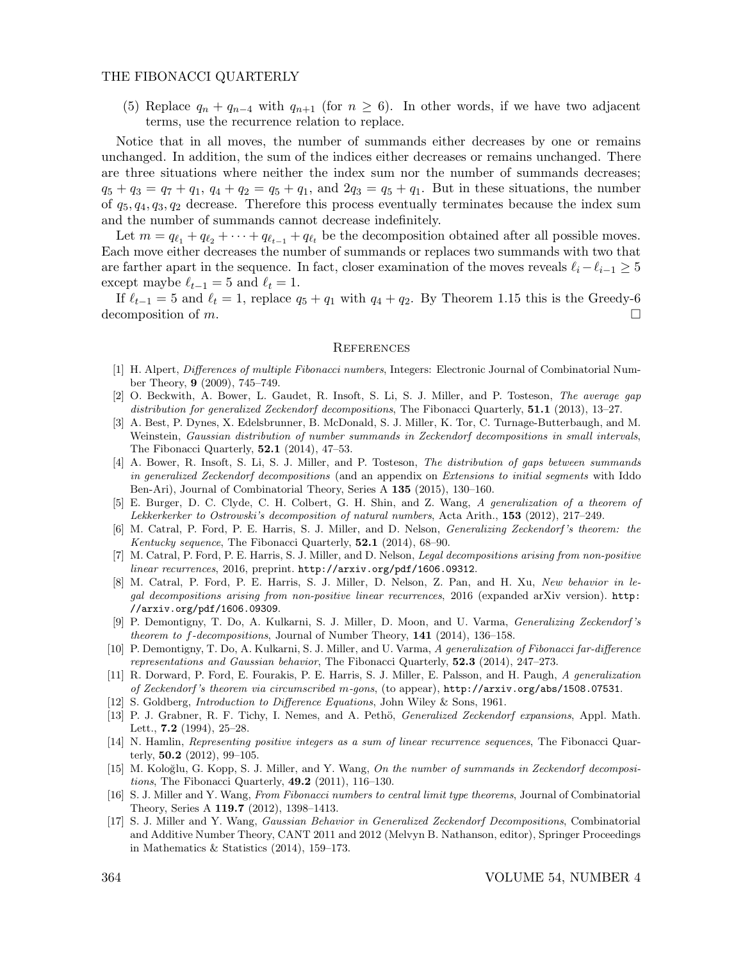(5) Replace  $q_n + q_{n-4}$  with  $q_{n+1}$  (for  $n \geq 6$ ). In other words, if we have two adjacent terms, use the recurrence relation to replace.

Notice that in all moves, the number of summands either decreases by one or remains unchanged. In addition, the sum of the indices either decreases or remains unchanged. There are three situations where neither the index sum nor the number of summands decreases;  $q_5 + q_3 = q_7 + q_1$ ,  $q_4 + q_2 = q_5 + q_1$ , and  $q_3 = q_5 + q_1$ . But in these situations, the number of  $q_5, q_4, q_3, q_2$  decrease. Therefore this process eventually terminates because the index sum and the number of summands cannot decrease indefinitely.

Let  $m = q_{\ell_1} + q_{\ell_2} + \cdots + q_{\ell_{t-1}} + q_{\ell_t}$  be the decomposition obtained after all possible moves. Each move either decreases the number of summands or replaces two summands with two that are farther apart in the sequence. In fact, closer examination of the moves reveals  $\ell_i - \ell_{i-1} \geq 5$ except maybe  $\ell_{t-1} = 5$  and  $\ell_t = 1$ .

If  $\ell_{t-1} = 5$  and  $\ell_t = 1$ , replace  $q_5 + q_1$  with  $q_4 + q_2$ . By Theorem 1.15 this is the Greedy-6 decomposition of  $m$ .

#### **REFERENCES**

- [1] H. Alpert, Differences of multiple Fibonacci numbers, Integers: Electronic Journal of Combinatorial Number Theory, 9 (2009), 745–749.
- [2] O. Beckwith, A. Bower, L. Gaudet, R. Insoft, S. Li, S. J. Miller, and P. Tosteson, The average gap distribution for generalized Zeckendorf decompositions, The Fibonacci Quarterly,  $51.1$  (2013), 13–27.
- [3] A. Best, P. Dynes, X. Edelsbrunner, B. McDonald, S. J. Miller, K. Tor, C. Turnage-Butterbaugh, and M. Weinstein, Gaussian distribution of number summands in Zeckendorf decompositions in small intervals, The Fibonacci Quarterly, 52.1 (2014), 47–53.
- [4] A. Bower, R. Insoft, S. Li, S. J. Miller, and P. Tosteson, The distribution of gaps between summands in generalized Zeckendorf decompositions (and an appendix on Extensions to initial segments with Iddo Ben-Ari), Journal of Combinatorial Theory, Series A 135 (2015), 130–160.
- [5] E. Burger, D. C. Clyde, C. H. Colbert, G. H. Shin, and Z. Wang, A generalization of a theorem of Lekkerkerker to Ostrowski's decomposition of natural numbers, Acta Arith., 153 (2012), 217–249.
- [6] M. Catral, P. Ford, P. E. Harris, S. J. Miller, and D. Nelson, Generalizing Zeckendorf 's theorem: the Kentucky sequence, The Fibonacci Quarterly, 52.1 (2014), 68-90.
- [7] M. Catral, P. Ford, P. E. Harris, S. J. Miller, and D. Nelson, Legal decompositions arising from non-positive linear recurrences, 2016, preprint. http://arxiv.org/pdf/1606.09312.
- [8] M. Catral, P. Ford, P. E. Harris, S. J. Miller, D. Nelson, Z. Pan, and H. Xu, New behavior in legal decompositions arising from non-positive linear recurrences, 2016 (expanded arXiv version). http: //arxiv.org/pdf/1606.09309.
- [9] P. Demontigny, T. Do, A. Kulkarni, S. J. Miller, D. Moon, and U. Varma, Generalizing Zeckendorf 's theorem to f-decompositions, Journal of Number Theory, 141 (2014), 136-158.
- [10] P. Demontigny, T. Do, A. Kulkarni, S. J. Miller, and U. Varma, A generalization of Fibonacci far-difference representations and Gaussian behavior, The Fibonacci Quarterly, 52.3 (2014), 247–273.
- [11] R. Dorward, P. Ford, E. Fourakis, P. E. Harris, S. J. Miller, E. Palsson, and H. Paugh, A generalization of Zeckendorf 's theorem via circumscribed m-gons, (to appear), http://arxiv.org/abs/1508.07531.
- [12] S. Goldberg, Introduction to Difference Equations, John Wiley & Sons, 1961.
- [13] P. J. Grabner, R. F. Tichy, I. Nemes, and A. Pethö, Generalized Zeckendorf expansions, Appl. Math. Lett., **7.2** (1994), 25–28.
- [14] N. Hamlin, Representing positive integers as a sum of linear recurrence sequences, The Fibonacci Quarterly,  $50.2$  (2012), 99-105.
- [15] M. Koloğlu, G. Kopp, S. J. Miller, and Y. Wang, On the number of summands in Zeckendorf decompositions, The Fibonacci Quarterly, 49.2 (2011), 116–130.
- [16] S. J. Miller and Y. Wang, From Fibonacci numbers to central limit type theorems, Journal of Combinatorial Theory, Series A 119.7 (2012), 1398–1413.
- [17] S. J. Miller and Y. Wang, Gaussian Behavior in Generalized Zeckendorf Decompositions, Combinatorial and Additive Number Theory, CANT 2011 and 2012 (Melvyn B. Nathanson, editor), Springer Proceedings in Mathematics & Statistics (2014), 159–173.